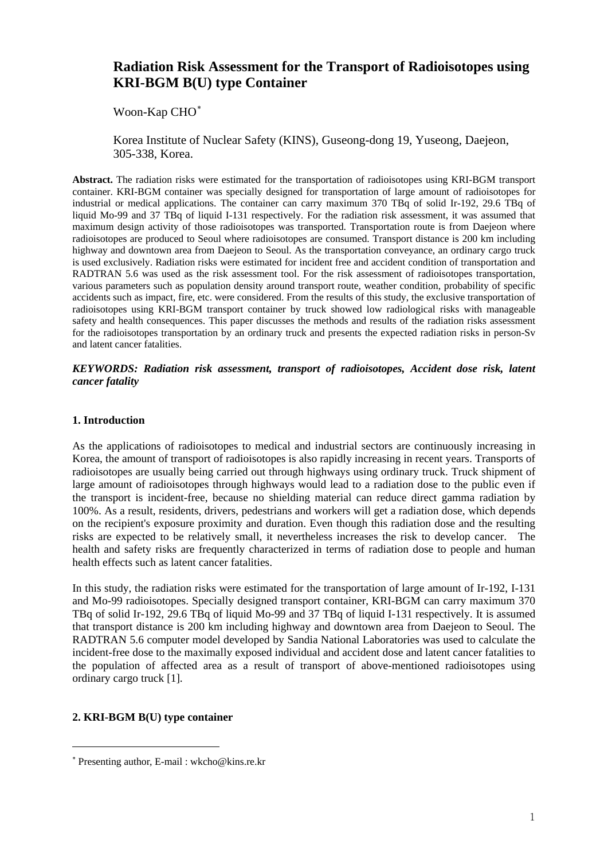# **Radiation Risk Assessment for the Transport of Radioisotopes using KRI-BGM B(U) type Container**

Woon-Kap CHO<sup>\*</sup>

Korea Institute of Nuclear Safety (KINS), Guseong-dong 19, Yuseong, Daejeon, 305-338, Korea.

**Abstract.** The radiation risks were estimated for the transportation of radioisotopes using KRI-BGM transport container. KRI-BGM container was specially designed for transportation of large amount of radioisotopes for industrial or medical applications. The container can carry maximum 370 TBq of solid Ir-192, 29.6 TBq of liquid Mo-99 and 37 TBq of liquid I-131 respectively. For the radiation risk assessment, it was assumed that maximum design activity of those radioisotopes was transported. Transportation route is from Daejeon where radioisotopes are produced to Seoul where radioisotopes are consumed. Transport distance is 200 km including highway and downtown area from Daejeon to Seoul. As the transportation conveyance, an ordinary cargo truck is used exclusively. Radiation risks were estimated for incident free and accident condition of transportation and RADTRAN 5.6 was used as the risk assessment tool. For the risk assessment of radioisotopes transportation, various parameters such as population density around transport route, weather condition, probability of specific accidents such as impact, fire, etc. were considered. From the results of this study, the exclusive transportation of radioisotopes using KRI-BGM transport container by truck showed low radiological risks with manageable safety and health consequences. This paper discusses the methods and results of the radiation risks assessment for the radioisotopes transportation by an ordinary truck and presents the expected radiation risks in person-Sv and latent cancer fatalities.

#### *KEYWORDS: Radiation risk assessment, transport of radioisotopes, Accident dose risk, latent cancer fatality*

#### **1. Introduction**

As the applications of radioisotopes to medical and industrial sectors are continuously increasing in Korea, the amount of transport of radioisotopes is also rapidly increasing in recent years. Transports of radioisotopes are usually being carried out through highways using ordinary truck. Truck shipment of large amount of radioisotopes through highways would lead to a radiation dose to the public even if the transport is incident-free, because no shielding material can reduce direct gamma radiation by 100%. As a result, residents, drivers, pedestrians and workers will get a radiation dose, which depends on the recipient's exposure proximity and duration. Even though this radiation dose and the resulting risks are expected to be relatively small, it nevertheless increases the risk to develop cancer. The health and safety risks are frequently characterized in terms of radiation dose to people and human health effects such as latent cancer fatalities.

In this study, the radiation risks were estimated for the transportation of large amount of Ir-192, I-131 and Mo-99 radioisotopes. Specially designed transport container, KRI-BGM can carry maximum 370 TBq of solid Ir-192, 29.6 TBq of liquid Mo-99 and 37 TBq of liquid I-131 respectively. It is assumed that transport distance is 200 km including highway and downtown area from Daejeon to Seoul. The RADTRAN 5.6 computer model developed by Sandia National Laboratories was used to calculate the incident-free dose to the maximally exposed individual and accident dose and latent cancer fatalities to the population of affected area as a result of transport of above-mentioned radioisotopes using ordinary cargo truck [1].

#### **2. KRI-BGM B(U) type container**

 $\overline{\phantom{a}}$ 

<span id="page-0-0"></span><sup>∗</sup> Presenting author, E-mail : wkcho@kins.re.kr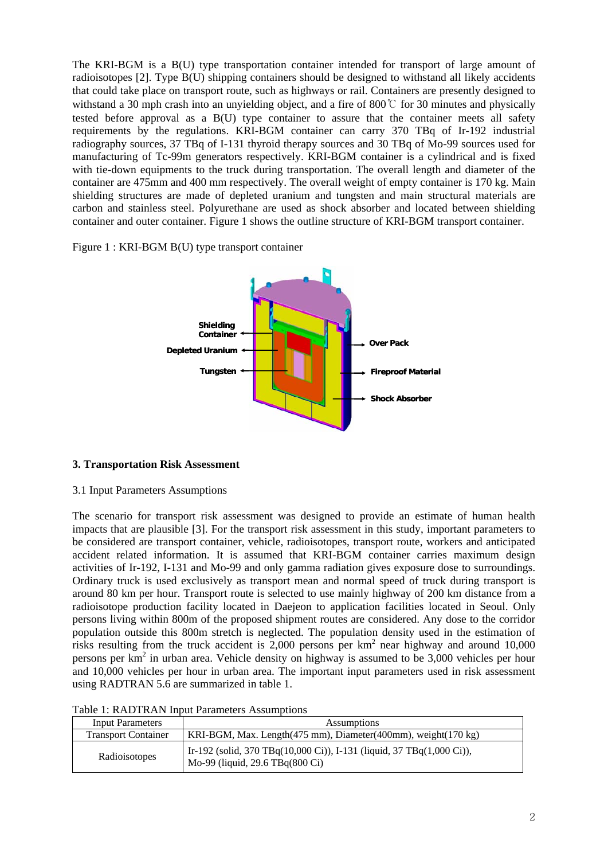The KRI-BGM is a B(U) type transportation container intended for transport of large amount of radioisotopes [2]. Type B(U) shipping containers should be designed to withstand all likely accidents that could take place on transport route, such as highways or rail. Containers are presently designed to withstand a 30 mph crash into an unyielding object, and a fire of 800℃ for 30 minutes and physically tested before approval as a B(U) type container to assure that the container meets all safety requirements by the regulations. KRI-BGM container can carry 370 TBq of Ir-192 industrial radiography sources, 37 TBq of I-131 thyroid therapy sources and 30 TBq of Mo-99 sources used for manufacturing of Tc-99m generators respectively. KRI-BGM container is a cylindrical and is fixed with tie-down equipments to the truck during transportation. The overall length and diameter of the container are 475mm and 400 mm respectively. The overall weight of empty container is 170 kg. Main shielding structures are made of depleted uranium and tungsten and main structural materials are carbon and stainless steel. Polyurethane are used as shock absorber and located between shielding container and outer container. Figure 1 shows the outline structure of KRI-BGM transport container.

## Figure 1 : KRI-BGM B(U) type transport container



#### **3. Transportation Risk Assessment**

#### 3.1 Input Parameters Assumptions

The scenario for transport risk assessment was designed to provide an estimate of human health impacts that are plausible [3]. For the transport risk assessment in this study, important parameters to be considered are transport container, vehicle, radioisotopes, transport route, workers and anticipated accident related information. It is assumed that KRI-BGM container carries maximum design activities of Ir-192, I-131 and Mo-99 and only gamma radiation gives exposure dose to surroundings. Ordinary truck is used exclusively as transport mean and normal speed of truck during transport is around 80 km per hour. Transport route is selected to use mainly highway of 200 km distance from a radioisotope production facility located in Daejeon to application facilities located in Seoul. Only persons living within 800m of the proposed shipment routes are considered. Any dose to the corridor population outside this 800m stretch is neglected. The population density used in the estimation of risks resulting from the truck accident is 2,000 persons per  $km^2$  near highway and around 10,000 persons per  $km^2$  in urban area. Vehicle density on highway is assumed to be 3,000 vehicles per hour and 10,000 vehicles per hour in urban area. The important input parameters used in risk assessment using RADTRAN 5.6 are summarized in table 1.

| <b>Input Parameters</b>    | <b>Assumptions</b>                                                                                       |  |  |
|----------------------------|----------------------------------------------------------------------------------------------------------|--|--|
|                            |                                                                                                          |  |  |
| <b>Transport Container</b> | KRI-BGM, Max. Length(475 mm), Diameter(400mm), weight(170 kg)                                            |  |  |
| Radioisotopes              | Ir-192 (solid, 370 TBq(10,000 Ci)), I-131 (liquid, 37 TBq(1,000 Ci)),<br>Mo-99 (liquid, 29.6 TBq(800 Ci) |  |  |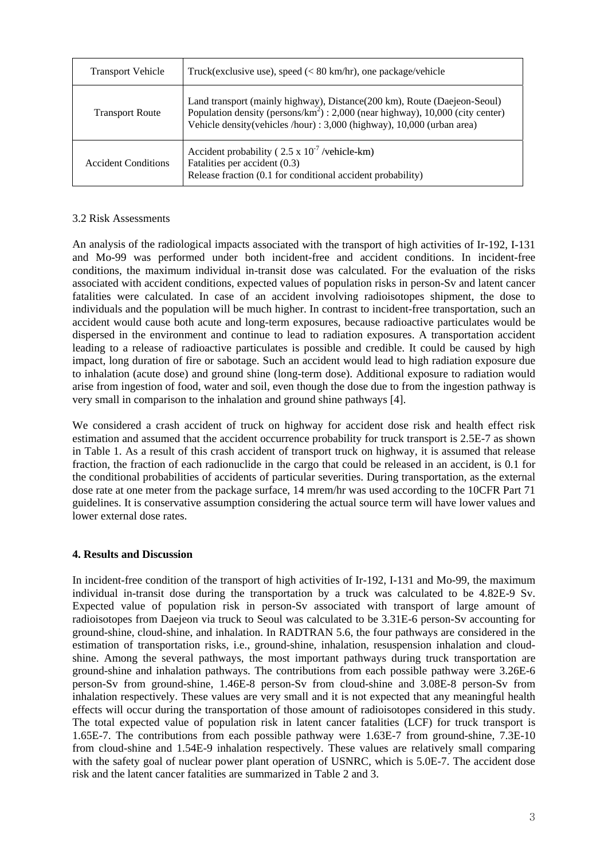| <b>Transport Vehicle</b>   | Truck(exclusive use), speed $(< 80 \text{ km/hr})$ , one package/vehicle                                                                                                                                                                  |
|----------------------------|-------------------------------------------------------------------------------------------------------------------------------------------------------------------------------------------------------------------------------------------|
| <b>Transport Route</b>     | Land transport (mainly highway), Distance(200 km), Route (Daejeon-Seoul)<br>Population density (persons/ $km^2$ ) : 2,000 (near highway), 10,000 (city center)<br>Vehicle density (vehicles /hour) : 3,000 (highway), 10,000 (urban area) |
| <b>Accident Conditions</b> | Accident probability ( $2.5 \times 10^{-7}$ /vehicle-km)<br>Fatalities per accident (0.3)<br>Release fraction (0.1 for conditional accident probability)                                                                                  |

## 3.2 Risk Assessments

An analysis of the radiological impacts associated with the transport of high activities of Ir-192, I-131 and Mo-99 was performed under both incident-free and accident conditions. In incident-free conditions, the maximum individual in-transit dose was calculated. For the evaluation of the risks associated with accident conditions, expected values of population risks in person-Sv and latent cancer fatalities were calculated. In case of an accident involving radioisotopes shipment, the dose to individuals and the population will be much higher. In contrast to incident-free transportation, such an accident would cause both acute and long-term exposures, because radioactive particulates would be dispersed in the environment and continue to lead to radiation exposures. A transportation accident leading to a release of radioactive particulates is possible and credible. It could be caused by high impact, long duration of fire or sabotage. Such an accident would lead to high radiation exposure due to inhalation (acute dose) and ground shine (long-term dose). Additional exposure to radiation would arise from ingestion of food, water and soil, even though the dose due to from the ingestion pathway is very small in comparison to the inhalation and ground shine pathways [4].

We considered a crash accident of truck on highway for accident dose risk and health effect risk estimation and assumed that the accident occurrence probability for truck transport is 2.5E-7 as shown in Table 1. As a result of this crash accident of transport truck on highway, it is assumed that release fraction, the fraction of each radionuclide in the cargo that could be released in an accident, is 0.1 for the conditional probabilities of accidents of particular severities. During transportation, as the external dose rate at one meter from the package surface, 14 mrem/hr was used according to the 10CFR Part 71 guidelines. It is conservative assumption considering the actual source term will have lower values and lower external dose rates.

# **4. Results and Discussion**

In incident-free condition of the transport of high activities of Ir-192, I-131 and Mo-99, the maximum individual in-transit dose during the transportation by a truck was calculated to be 4.82E-9 Sv. Expected value of population risk in person-Sv associated with transport of large amount of radioisotopes from Daejeon via truck to Seoul was calculated to be 3.31E-6 person-Sv accounting for ground-shine, cloud-shine, and inhalation. In RADTRAN 5.6, the four pathways are considered in the estimation of transportation risks, i.e., ground-shine, inhalation, resuspension inhalation and cloudshine. Among the several pathways, the most important pathways during truck transportation are ground-shine and inhalation pathways. The contributions from each possible pathway were 3.26E-6 person-Sv from ground-shine, 1.46E-8 person-Sv from cloud-shine and 3.08E-8 person-Sv from inhalation respectively. These values are very small and it is not expected that any meaningful health effects will occur during the transportation of those amount of radioisotopes considered in this study. The total expected value of population risk in latent cancer fatalities (LCF) for truck transport is 1.65E-7. The contributions from each possible pathway were 1.63E-7 from ground-shine, 7.3E-10 from cloud-shine and 1.54E-9 inhalation respectively. These values are relatively small comparing with the safety goal of nuclear power plant operation of USNRC, which is 5.0E-7. The accident dose risk and the latent cancer fatalities are summarized in Table 2 and 3.